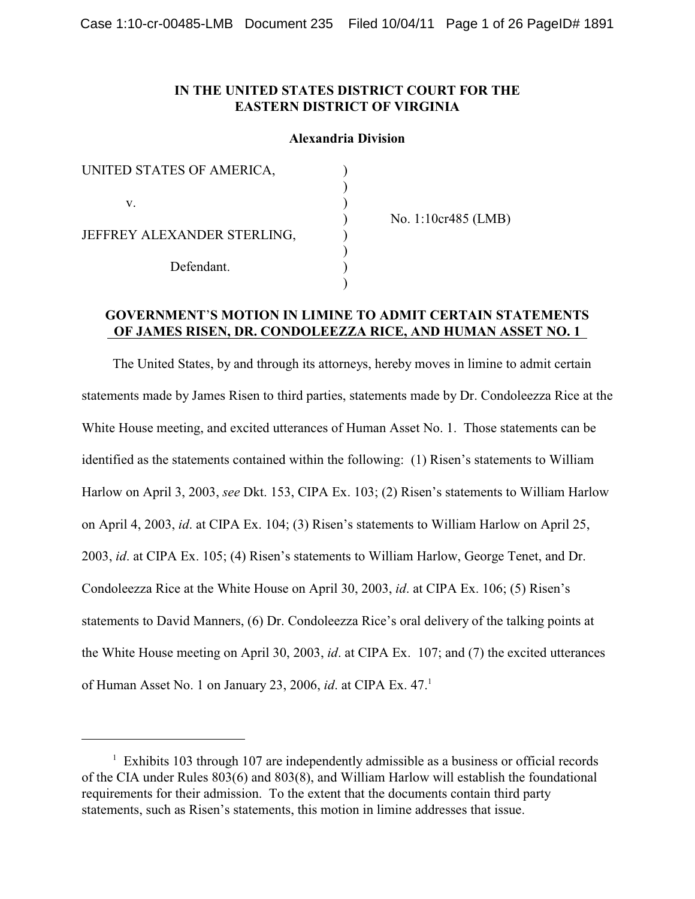## **IN THE UNITED STATES DISTRICT COURT FOR THE EASTERN DISTRICT OF VIRGINIA**

### **Alexandria Division**

) ) ) ) ) ) ) )

| UNITED STATES OF AMERICA,   |  |
|-----------------------------|--|
| V.                          |  |
| JEFFREY ALEXANDER STERLING, |  |
| Defendant.                  |  |

No. 1:10cr485 (LMB)

### **GOVERNMENT**'**S MOTION IN LIMINE TO ADMIT CERTAIN STATEMENTS OF JAMES RISEN, DR. CONDOLEEZZA RICE, AND HUMAN ASSET NO. 1**

The United States, by and through its attorneys, hereby moves in limine to admit certain statements made by James Risen to third parties, statements made by Dr. Condoleezza Rice at the White House meeting, and excited utterances of Human Asset No. 1. Those statements can be identified as the statements contained within the following: (1) Risen's statements to William Harlow on April 3, 2003, *see* Dkt. 153, CIPA Ex. 103; (2) Risen's statements to William Harlow on April 4, 2003, *id*. at CIPA Ex. 104; (3) Risen's statements to William Harlow on April 25, 2003, *id*. at CIPA Ex. 105; (4) Risen's statements to William Harlow, George Tenet, and Dr. Condoleezza Rice at the White House on April 30, 2003, *id*. at CIPA Ex. 106; (5) Risen's statements to David Manners, (6) Dr. Condoleezza Rice's oral delivery of the talking points at the White House meeting on April 30, 2003, *id*. at CIPA Ex. 107; and (7) the excited utterances of Human Asset No. 1 on January 23, 2006, *id*. at CIPA Ex. 47.<sup>1</sup>

 $1$  Exhibits 103 through 107 are independently admissible as a business or official records of the CIA under Rules 803(6) and 803(8), and William Harlow will establish the foundational requirements for their admission. To the extent that the documents contain third party statements, such as Risen's statements, this motion in limine addresses that issue.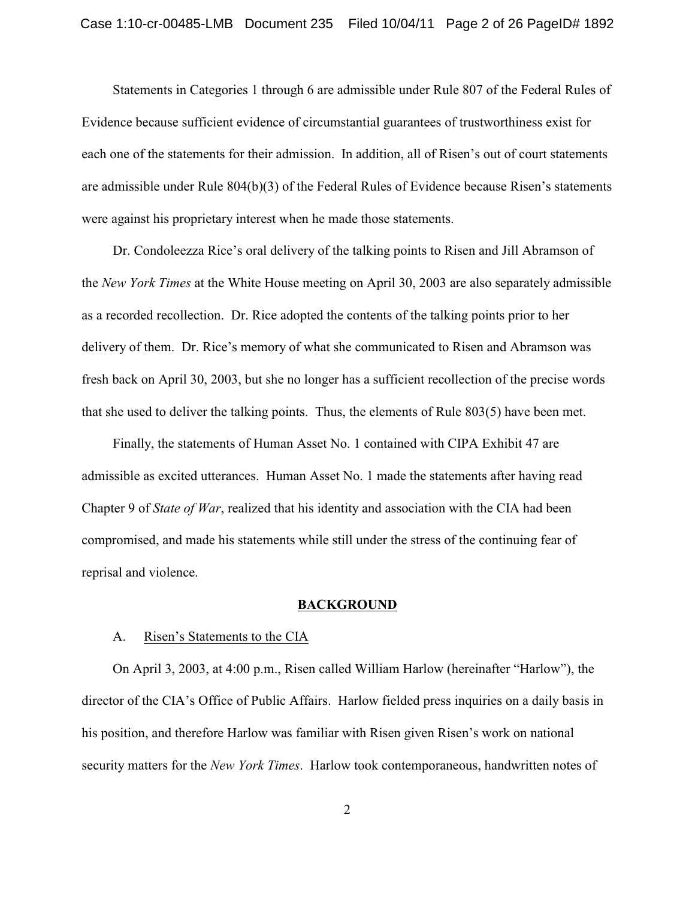Statements in Categories 1 through 6 are admissible under Rule 807 of the Federal Rules of Evidence because sufficient evidence of circumstantial guarantees of trustworthiness exist for each one of the statements for their admission. In addition, all of Risen's out of court statements are admissible under Rule 804(b)(3) of the Federal Rules of Evidence because Risen's statements were against his proprietary interest when he made those statements.

Dr. Condoleezza Rice's oral delivery of the talking points to Risen and Jill Abramson of the *New York Times* at the White House meeting on April 30, 2003 are also separately admissible as a recorded recollection. Dr. Rice adopted the contents of the talking points prior to her delivery of them. Dr. Rice's memory of what she communicated to Risen and Abramson was fresh back on April 30, 2003, but she no longer has a sufficient recollection of the precise words that she used to deliver the talking points. Thus, the elements of Rule 803(5) have been met.

Finally, the statements of Human Asset No. 1 contained with CIPA Exhibit 47 are admissible as excited utterances. Human Asset No. 1 made the statements after having read Chapter 9 of *State of War*, realized that his identity and association with the CIA had been compromised, and made his statements while still under the stress of the continuing fear of reprisal and violence.

#### **BACKGROUND**

#### A. Risen's Statements to the CIA

On April 3, 2003, at 4:00 p.m., Risen called William Harlow (hereinafter "Harlow"), the director of the CIA's Office of Public Affairs. Harlow fielded press inquiries on a daily basis in his position, and therefore Harlow was familiar with Risen given Risen's work on national security matters for the *New York Times*. Harlow took contemporaneous, handwritten notes of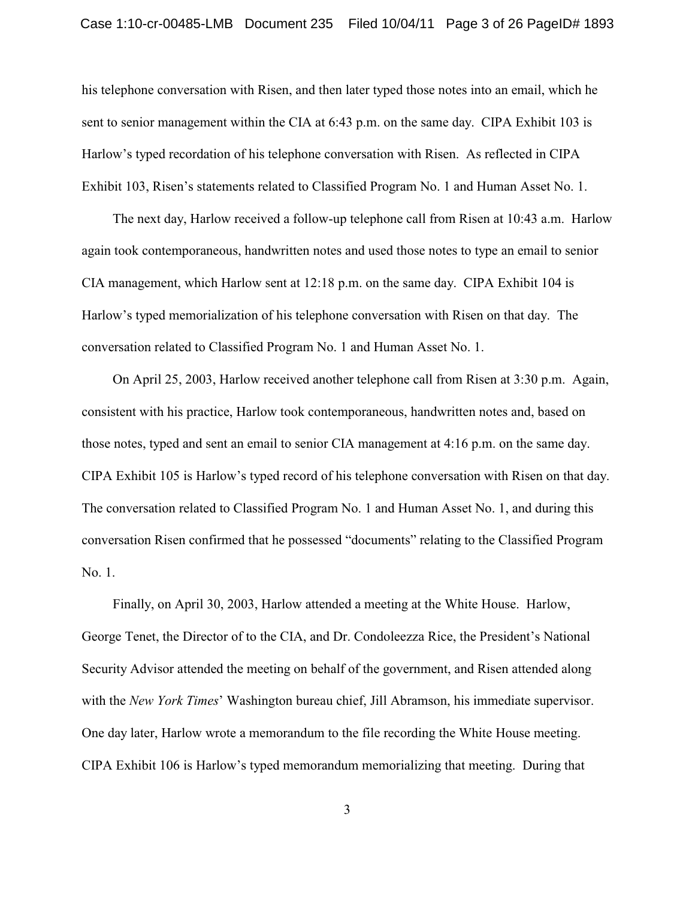his telephone conversation with Risen, and then later typed those notes into an email, which he sent to senior management within the CIA at 6:43 p.m. on the same day. CIPA Exhibit 103 is Harlow's typed recordation of his telephone conversation with Risen. As reflected in CIPA Exhibit 103, Risen's statements related to Classified Program No. 1 and Human Asset No. 1.

The next day, Harlow received a follow-up telephone call from Risen at 10:43 a.m. Harlow again took contemporaneous, handwritten notes and used those notes to type an email to senior CIA management, which Harlow sent at 12:18 p.m. on the same day. CIPA Exhibit 104 is Harlow's typed memorialization of his telephone conversation with Risen on that day. The conversation related to Classified Program No. 1 and Human Asset No. 1.

On April 25, 2003, Harlow received another telephone call from Risen at 3:30 p.m. Again, consistent with his practice, Harlow took contemporaneous, handwritten notes and, based on those notes, typed and sent an email to senior CIA management at 4:16 p.m. on the same day. CIPA Exhibit 105 is Harlow's typed record of his telephone conversation with Risen on that day. The conversation related to Classified Program No. 1 and Human Asset No. 1, and during this conversation Risen confirmed that he possessed "documents" relating to the Classified Program No. 1.

Finally, on April 30, 2003, Harlow attended a meeting at the White House. Harlow, George Tenet, the Director of to the CIA, and Dr. Condoleezza Rice, the President's National Security Advisor attended the meeting on behalf of the government, and Risen attended along with the *New York Times*' Washington bureau chief, Jill Abramson, his immediate supervisor. One day later, Harlow wrote a memorandum to the file recording the White House meeting. CIPA Exhibit 106 is Harlow's typed memorandum memorializing that meeting. During that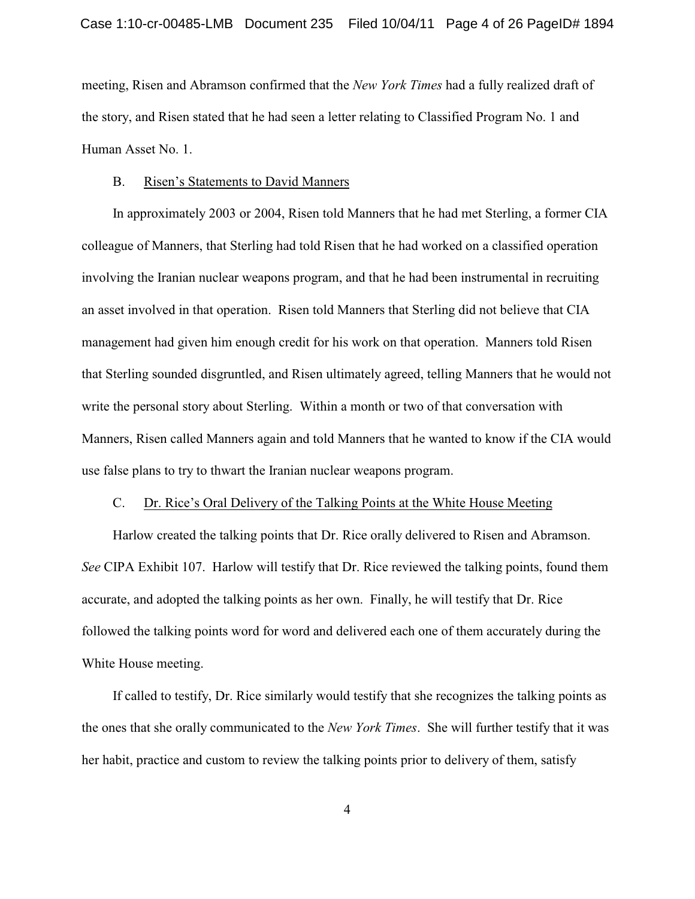meeting, Risen and Abramson confirmed that the *New York Times* had a fully realized draft of the story, and Risen stated that he had seen a letter relating to Classified Program No. 1 and Human Asset No. 1.

#### B. Risen's Statements to David Manners

In approximately 2003 or 2004, Risen told Manners that he had met Sterling, a former CIA colleague of Manners, that Sterling had told Risen that he had worked on a classified operation involving the Iranian nuclear weapons program, and that he had been instrumental in recruiting an asset involved in that operation. Risen told Manners that Sterling did not believe that CIA management had given him enough credit for his work on that operation. Manners told Risen that Sterling sounded disgruntled, and Risen ultimately agreed, telling Manners that he would not write the personal story about Sterling. Within a month or two of that conversation with Manners, Risen called Manners again and told Manners that he wanted to know if the CIA would use false plans to try to thwart the Iranian nuclear weapons program.

## C. Dr. Rice's Oral Delivery of the Talking Points at the White House Meeting

Harlow created the talking points that Dr. Rice orally delivered to Risen and Abramson. *See* CIPA Exhibit 107. Harlow will testify that Dr. Rice reviewed the talking points, found them accurate, and adopted the talking points as her own. Finally, he will testify that Dr. Rice followed the talking points word for word and delivered each one of them accurately during the White House meeting.

If called to testify, Dr. Rice similarly would testify that she recognizes the talking points as the ones that she orally communicated to the *New York Times*. She will further testify that it was her habit, practice and custom to review the talking points prior to delivery of them, satisfy

4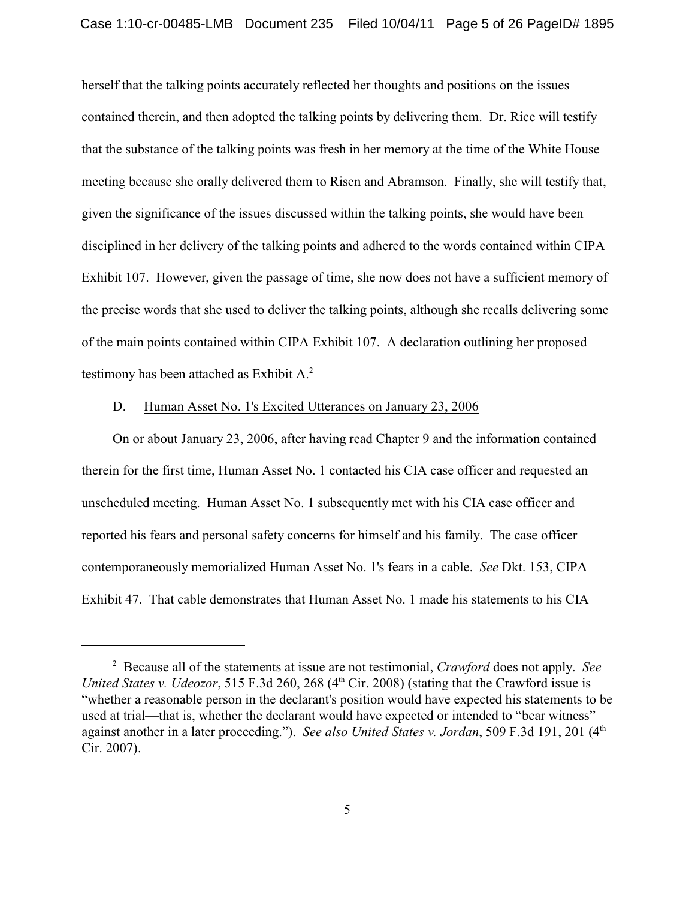herself that the talking points accurately reflected her thoughts and positions on the issues contained therein, and then adopted the talking points by delivering them. Dr. Rice will testify that the substance of the talking points was fresh in her memory at the time of the White House meeting because she orally delivered them to Risen and Abramson. Finally, she will testify that, given the significance of the issues discussed within the talking points, she would have been disciplined in her delivery of the talking points and adhered to the words contained within CIPA Exhibit 107. However, given the passage of time, she now does not have a sufficient memory of the precise words that she used to deliver the talking points, although she recalls delivering some of the main points contained within CIPA Exhibit 107. A declaration outlining her proposed testimony has been attached as Exhibit A.<sup>2</sup>

### D. Human Asset No. 1's Excited Utterances on January 23, 2006

On or about January 23, 2006, after having read Chapter 9 and the information contained therein for the first time, Human Asset No. 1 contacted his CIA case officer and requested an unscheduled meeting. Human Asset No. 1 subsequently met with his CIA case officer and reported his fears and personal safety concerns for himself and his family. The case officer contemporaneously memorialized Human Asset No. 1's fears in a cable. *See* Dkt. 153, CIPA Exhibit 47. That cable demonstrates that Human Asset No. 1 made his statements to his CIA

Because all of the statements at issue are not testimonial, *Crawford* does not apply. *See* <sup>2</sup> *United States v. Udeozor*, 515 F.3d 260, 268  $(4<sup>th</sup> Cir. 2008)$  (stating that the Crawford issue is "whether a reasonable person in the declarant's position would have expected his statements to be used at trial—that is, whether the declarant would have expected or intended to "bear witness" against another in a later proceeding."). *See also United States v. Jordan*, 509 F.3d 191, 201 (4<sup>th</sup> Cir. 2007).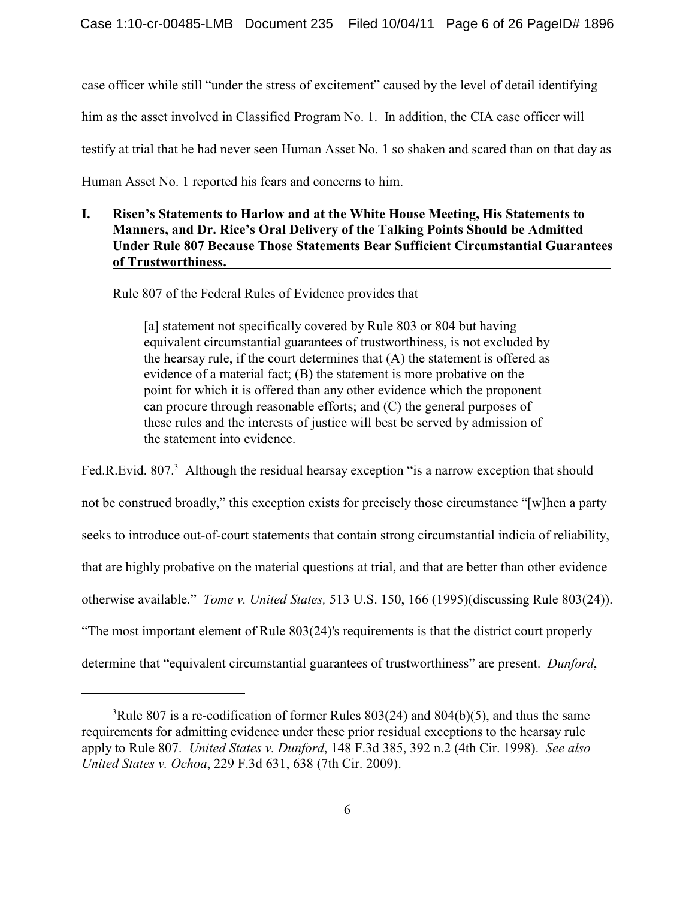case officer while still "under the stress of excitement" caused by the level of detail identifying him as the asset involved in Classified Program No. 1. In addition, the CIA case officer will testify at trial that he had never seen Human Asset No. 1 so shaken and scared than on that day as Human Asset No. 1 reported his fears and concerns to him.

# **I. Risen's Statements to Harlow and at the White House Meeting, His Statements to Manners, and Dr. Rice's Oral Delivery of the Talking Points Should be Admitted Under Rule 807 Because Those Statements Bear Sufficient Circumstantial Guarantees of Trustworthiness.**

Rule 807 of the Federal Rules of Evidence provides that

[a] statement not specifically covered by Rule 803 or 804 but having equivalent circumstantial guarantees of trustworthiness, is not excluded by the hearsay rule, if the court determines that  $(A)$  the statement is offered as evidence of a material fact; (B) the statement is more probative on the point for which it is offered than any other evidence which the proponent can procure through reasonable efforts; and (C) the general purposes of these rules and the interests of justice will best be served by admission of the statement into evidence.

Fed.R.Evid. 807. $^3$  Although the residual hearsay exception "is a narrow exception that should not be construed broadly," this exception exists for precisely those circumstance "[w]hen a party seeks to introduce out-of-court statements that contain strong circumstantial indicia of reliability, that are highly probative on the material questions at trial, and that are better than other evidence otherwise available." *Tome v. United States,* 513 U.S. 150, 166 (1995)(discussing Rule 803(24)). "The most important element of Rule 803(24)'s requirements is that the district court properly determine that "equivalent circumstantial guarantees of trustworthiness" are present. *Dunford*,

<sup>&</sup>lt;sup>3</sup>Rule 807 is a re-codification of former Rules 803(24) and 804(b)(5), and thus the same requirements for admitting evidence under these prior residual exceptions to the hearsay rule apply to Rule 807. *United States v. Dunford*, 148 F.3d 385, 392 n.2 (4th Cir. 1998). *See also United States v. Ochoa*, 229 F.3d 631, 638 (7th Cir. 2009).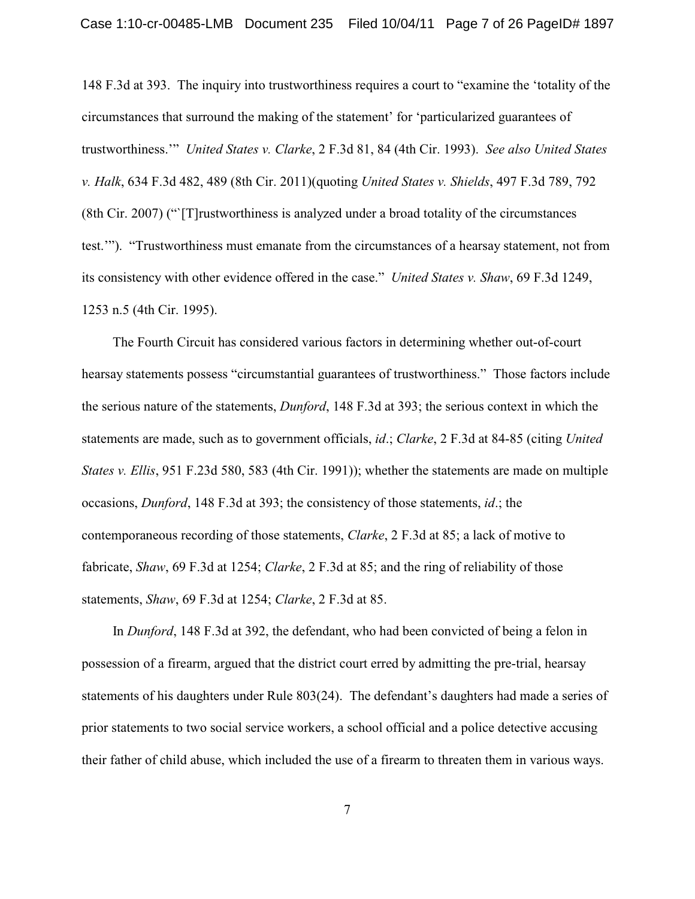148 F.3d at 393. The inquiry into trustworthiness requires a court to "examine the 'totality of the circumstances that surround the making of the statement' for 'particularized guarantees of trustworthiness.'" *United States v. Clarke*, 2 F.3d 81, 84 (4th Cir. 1993). *See also United States v. Halk*, 634 F.3d 482, 489 (8th Cir. 2011)(quoting *United States v. Shields*, 497 F.3d 789, 792 (8th Cir. 2007) ("`[T]rustworthiness is analyzed under a broad totality of the circumstances test.'"). "Trustworthiness must emanate from the circumstances of a hearsay statement, not from its consistency with other evidence offered in the case." *United States v. Shaw*, 69 F.3d 1249, 1253 n.5 (4th Cir. 1995).

The Fourth Circuit has considered various factors in determining whether out-of-court hearsay statements possess "circumstantial guarantees of trustworthiness." Those factors include the serious nature of the statements, *Dunford*, 148 F.3d at 393; the serious context in which the statements are made, such as to government officials, *id*.; *Clarke*, 2 F.3d at 84-85 (citing *United States v. Ellis*, 951 F.23d 580, 583 (4th Cir. 1991)); whether the statements are made on multiple occasions, *Dunford*, 148 F.3d at 393; the consistency of those statements, *id*.; the contemporaneous recording of those statements, *Clarke*, 2 F.3d at 85; a lack of motive to fabricate, *Shaw*, 69 F.3d at 1254; *Clarke*, 2 F.3d at 85; and the ring of reliability of those statements, *Shaw*, 69 F.3d at 1254; *Clarke*, 2 F.3d at 85.

In *Dunford*, 148 F.3d at 392, the defendant, who had been convicted of being a felon in possession of a firearm, argued that the district court erred by admitting the pre-trial, hearsay statements of his daughters under Rule 803(24). The defendant's daughters had made a series of prior statements to two social service workers, a school official and a police detective accusing their father of child abuse, which included the use of a firearm to threaten them in various ways.

7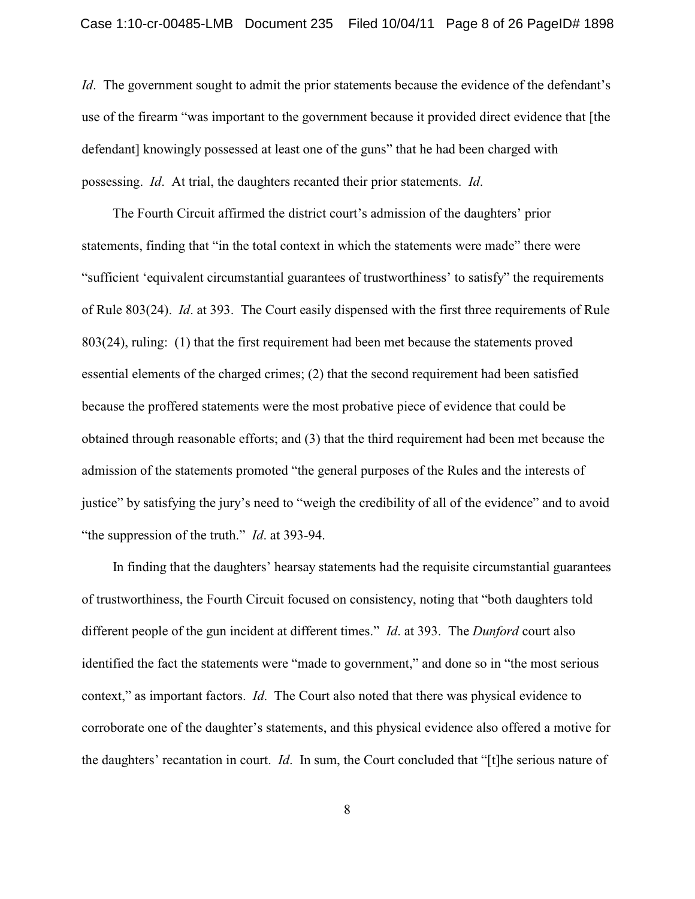*Id*. The government sought to admit the prior statements because the evidence of the defendant's use of the firearm "was important to the government because it provided direct evidence that [the defendant] knowingly possessed at least one of the guns" that he had been charged with possessing. *Id*. At trial, the daughters recanted their prior statements. *Id*.

The Fourth Circuit affirmed the district court's admission of the daughters' prior statements, finding that "in the total context in which the statements were made" there were "sufficient 'equivalent circumstantial guarantees of trustworthiness' to satisfy" the requirements of Rule 803(24). *Id*. at 393. The Court easily dispensed with the first three requirements of Rule 803(24), ruling: (1) that the first requirement had been met because the statements proved essential elements of the charged crimes; (2) that the second requirement had been satisfied because the proffered statements were the most probative piece of evidence that could be obtained through reasonable efforts; and (3) that the third requirement had been met because the admission of the statements promoted "the general purposes of the Rules and the interests of justice" by satisfying the jury's need to "weigh the credibility of all of the evidence" and to avoid "the suppression of the truth." *Id*. at 393-94.

In finding that the daughters' hearsay statements had the requisite circumstantial guarantees of trustworthiness, the Fourth Circuit focused on consistency, noting that "both daughters told different people of the gun incident at different times." *Id*. at 393. The *Dunford* court also identified the fact the statements were "made to government," and done so in "the most serious context," as important factors. *Id*. The Court also noted that there was physical evidence to corroborate one of the daughter's statements, and this physical evidence also offered a motive for the daughters' recantation in court. *Id*. In sum, the Court concluded that "[t]he serious nature of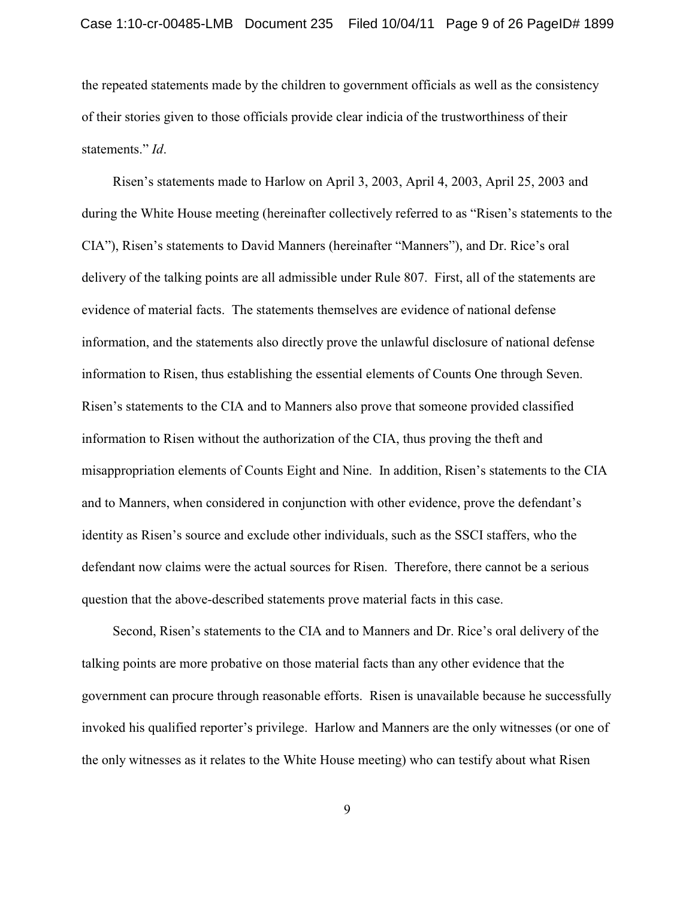the repeated statements made by the children to government officials as well as the consistency of their stories given to those officials provide clear indicia of the trustworthiness of their statements." *Id*.

Risen's statements made to Harlow on April 3, 2003, April 4, 2003, April 25, 2003 and during the White House meeting (hereinafter collectively referred to as "Risen's statements to the CIA"), Risen's statements to David Manners (hereinafter "Manners"), and Dr. Rice's oral delivery of the talking points are all admissible under Rule 807. First, all of the statements are evidence of material facts. The statements themselves are evidence of national defense information, and the statements also directly prove the unlawful disclosure of national defense information to Risen, thus establishing the essential elements of Counts One through Seven. Risen's statements to the CIA and to Manners also prove that someone provided classified information to Risen without the authorization of the CIA, thus proving the theft and misappropriation elements of Counts Eight and Nine. In addition, Risen's statements to the CIA and to Manners, when considered in conjunction with other evidence, prove the defendant's identity as Risen's source and exclude other individuals, such as the SSCI staffers, who the defendant now claims were the actual sources for Risen. Therefore, there cannot be a serious question that the above-described statements prove material facts in this case.

Second, Risen's statements to the CIA and to Manners and Dr. Rice's oral delivery of the talking points are more probative on those material facts than any other evidence that the government can procure through reasonable efforts. Risen is unavailable because he successfully invoked his qualified reporter's privilege. Harlow and Manners are the only witnesses (or one of the only witnesses as it relates to the White House meeting) who can testify about what Risen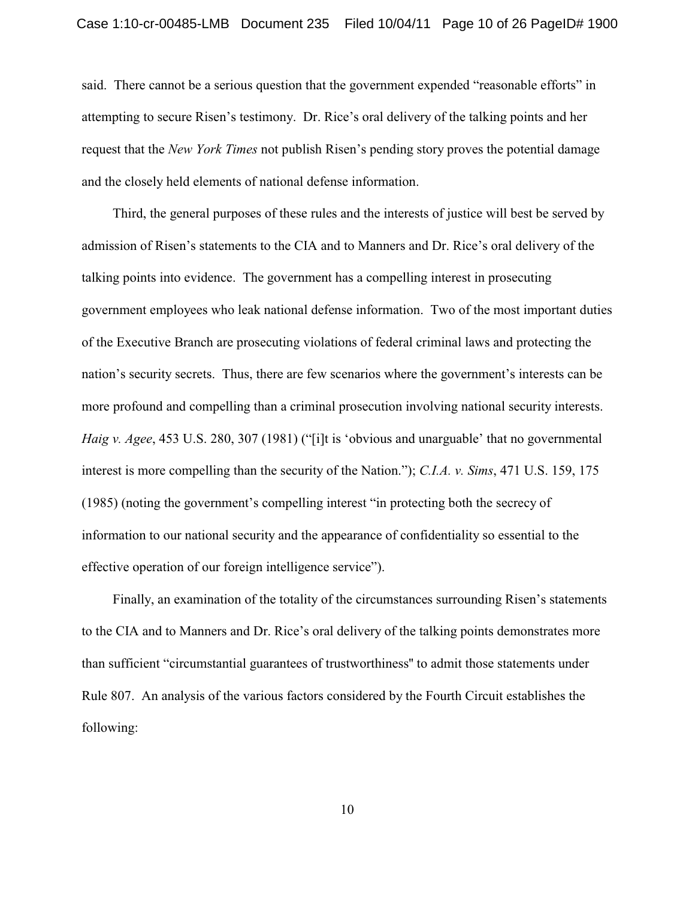said. There cannot be a serious question that the government expended "reasonable efforts" in attempting to secure Risen's testimony. Dr. Rice's oral delivery of the talking points and her request that the *New York Times* not publish Risen's pending story proves the potential damage and the closely held elements of national defense information.

Third, the general purposes of these rules and the interests of justice will best be served by admission of Risen's statements to the CIA and to Manners and Dr. Rice's oral delivery of the talking points into evidence. The government has a compelling interest in prosecuting government employees who leak national defense information. Two of the most important duties of the Executive Branch are prosecuting violations of federal criminal laws and protecting the nation's security secrets. Thus, there are few scenarios where the government's interests can be more profound and compelling than a criminal prosecution involving national security interests. *Haig v. Agee*, 453 U.S. 280, 307 (1981) ("[i]t is 'obvious and unarguable' that no governmental interest is more compelling than the security of the Nation."); *C.I.A. v. Sims*, 471 U.S. 159, 175 (1985) (noting the government's compelling interest "in protecting both the secrecy of information to our national security and the appearance of confidentiality so essential to the effective operation of our foreign intelligence service").

Finally, an examination of the totality of the circumstances surrounding Risen's statements to the CIA and to Manners and Dr. Rice's oral delivery of the talking points demonstrates more than sufficient "circumstantial guarantees of trustworthiness'' to admit those statements under Rule 807. An analysis of the various factors considered by the Fourth Circuit establishes the following: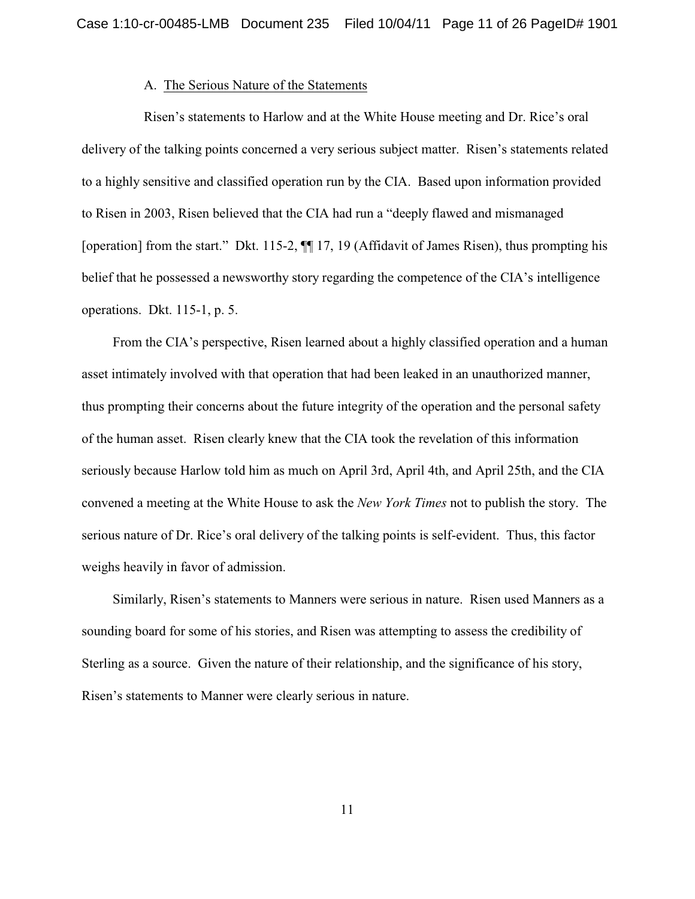#### A. The Serious Nature of the Statements

Risen's statements to Harlow and at the White House meeting and Dr. Rice's oral delivery of the talking points concerned a very serious subject matter. Risen's statements related to a highly sensitive and classified operation run by the CIA. Based upon information provided to Risen in 2003, Risen believed that the CIA had run a "deeply flawed and mismanaged [operation] from the start." Dkt. 115-2, ¶¶ 17, 19 (Affidavit of James Risen), thus prompting his belief that he possessed a newsworthy story regarding the competence of the CIA's intelligence operations. Dkt. 115-1, p. 5.

From the CIA's perspective, Risen learned about a highly classified operation and a human asset intimately involved with that operation that had been leaked in an unauthorized manner, thus prompting their concerns about the future integrity of the operation and the personal safety of the human asset. Risen clearly knew that the CIA took the revelation of this information seriously because Harlow told him as much on April 3rd, April 4th, and April 25th, and the CIA convened a meeting at the White House to ask the *New York Times* not to publish the story. The serious nature of Dr. Rice's oral delivery of the talking points is self-evident. Thus, this factor weighs heavily in favor of admission.

Similarly, Risen's statements to Manners were serious in nature. Risen used Manners as a sounding board for some of his stories, and Risen was attempting to assess the credibility of Sterling as a source. Given the nature of their relationship, and the significance of his story, Risen's statements to Manner were clearly serious in nature.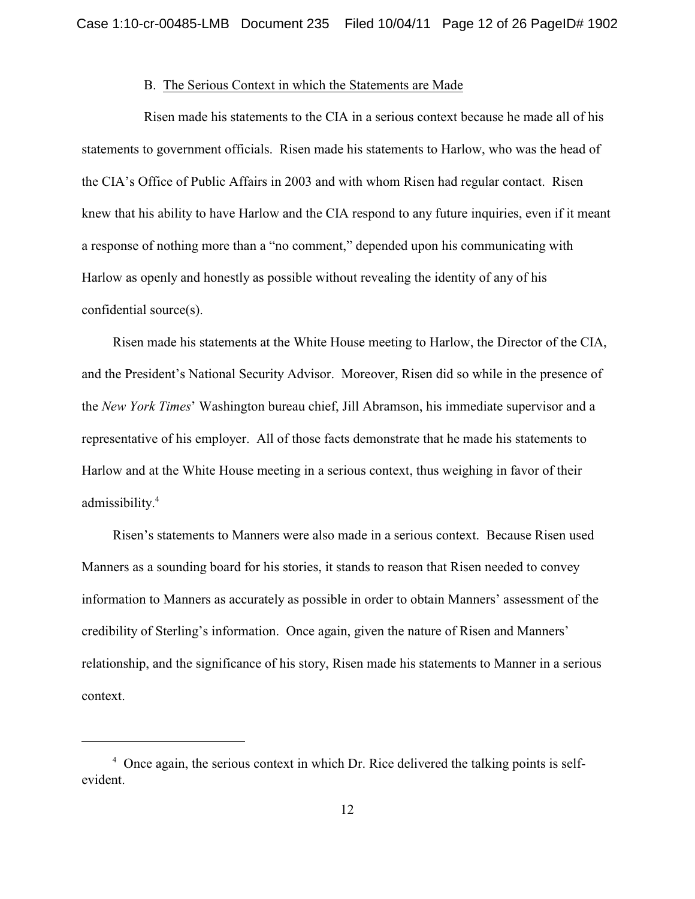#### B. The Serious Context in which the Statements are Made

Risen made his statements to the CIA in a serious context because he made all of his statements to government officials. Risen made his statements to Harlow, who was the head of the CIA's Office of Public Affairs in 2003 and with whom Risen had regular contact. Risen knew that his ability to have Harlow and the CIA respond to any future inquiries, even if it meant a response of nothing more than a "no comment," depended upon his communicating with Harlow as openly and honestly as possible without revealing the identity of any of his confidential source(s).

Risen made his statements at the White House meeting to Harlow, the Director of the CIA, and the President's National Security Advisor. Moreover, Risen did so while in the presence of the *New York Times*' Washington bureau chief, Jill Abramson, his immediate supervisor and a representative of his employer. All of those facts demonstrate that he made his statements to Harlow and at the White House meeting in a serious context, thus weighing in favor of their admissibility. 4

Risen's statements to Manners were also made in a serious context. Because Risen used Manners as a sounding board for his stories, it stands to reason that Risen needed to convey information to Manners as accurately as possible in order to obtain Manners' assessment of the credibility of Sterling's information. Once again, given the nature of Risen and Manners' relationship, and the significance of his story, Risen made his statements to Manner in a serious context.

 $4\degree$  Once again, the serious context in which Dr. Rice delivered the talking points is selfevident.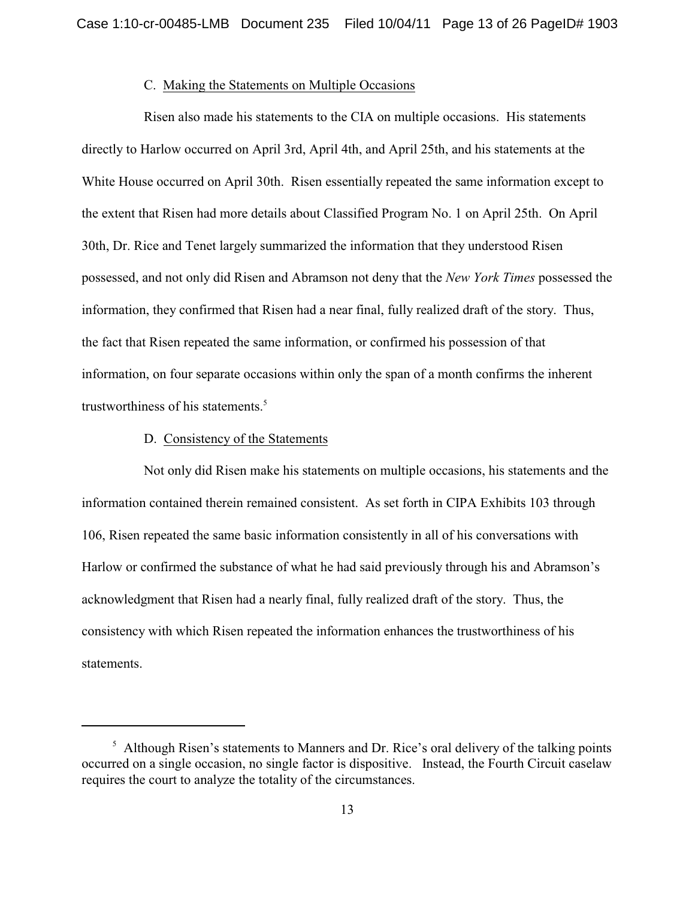#### C. Making the Statements on Multiple Occasions

Risen also made his statements to the CIA on multiple occasions. His statements directly to Harlow occurred on April 3rd, April 4th, and April 25th, and his statements at the White House occurred on April 30th. Risen essentially repeated the same information except to the extent that Risen had more details about Classified Program No. 1 on April 25th. On April 30th, Dr. Rice and Tenet largely summarized the information that they understood Risen possessed, and not only did Risen and Abramson not deny that the *New York Times* possessed the information, they confirmed that Risen had a near final, fully realized draft of the story. Thus, the fact that Risen repeated the same information, or confirmed his possession of that information, on four separate occasions within only the span of a month confirms the inherent trustworthiness of his statements.<sup>5</sup>

### D. Consistency of the Statements

Not only did Risen make his statements on multiple occasions, his statements and the information contained therein remained consistent. As set forth in CIPA Exhibits 103 through 106, Risen repeated the same basic information consistently in all of his conversations with Harlow or confirmed the substance of what he had said previously through his and Abramson's acknowledgment that Risen had a nearly final, fully realized draft of the story. Thus, the consistency with which Risen repeated the information enhances the trustworthiness of his statements.

 $<sup>5</sup>$  Although Risen's statements to Manners and Dr. Rice's oral delivery of the talking points</sup> occurred on a single occasion, no single factor is dispositive. Instead, the Fourth Circuit caselaw requires the court to analyze the totality of the circumstances.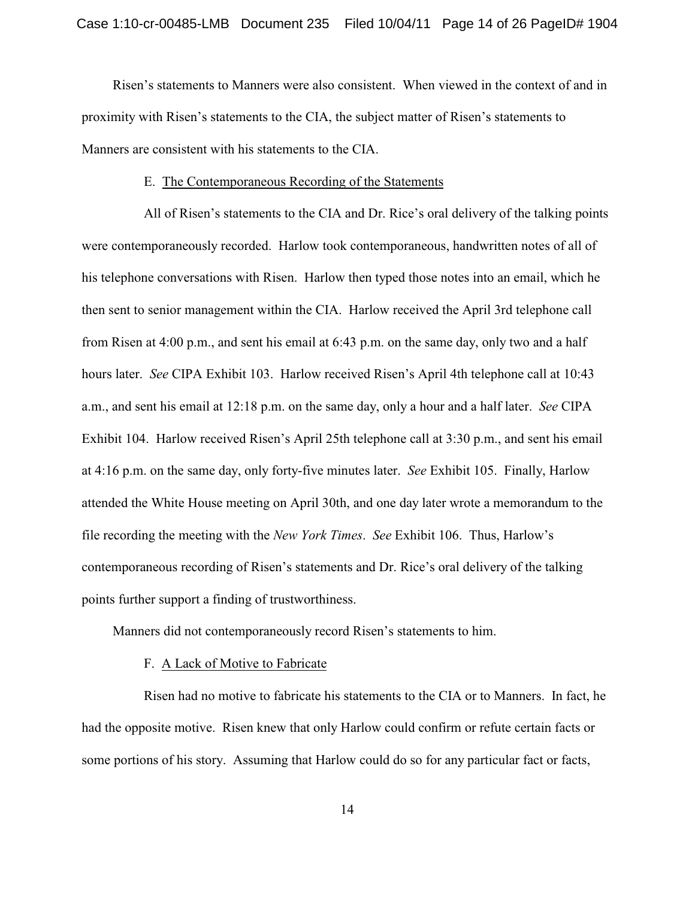Risen's statements to Manners were also consistent. When viewed in the context of and in proximity with Risen's statements to the CIA, the subject matter of Risen's statements to Manners are consistent with his statements to the CIA.

#### E. The Contemporaneous Recording of the Statements

All of Risen's statements to the CIA and Dr. Rice's oral delivery of the talking points were contemporaneously recorded. Harlow took contemporaneous, handwritten notes of all of his telephone conversations with Risen. Harlow then typed those notes into an email, which he then sent to senior management within the CIA. Harlow received the April 3rd telephone call from Risen at 4:00 p.m., and sent his email at 6:43 p.m. on the same day, only two and a half hours later. *See* CIPA Exhibit 103. Harlow received Risen's April 4th telephone call at 10:43 a.m., and sent his email at 12:18 p.m. on the same day, only a hour and a half later. *See* CIPA Exhibit 104. Harlow received Risen's April 25th telephone call at 3:30 p.m., and sent his email at 4:16 p.m. on the same day, only forty-five minutes later. *See* Exhibit 105. Finally, Harlow attended the White House meeting on April 30th, and one day later wrote a memorandum to the file recording the meeting with the *New York Times*. *See* Exhibit 106. Thus, Harlow's contemporaneous recording of Risen's statements and Dr. Rice's oral delivery of the talking points further support a finding of trustworthiness.

Manners did not contemporaneously record Risen's statements to him.

### F. A Lack of Motive to Fabricate

Risen had no motive to fabricate his statements to the CIA or to Manners. In fact, he had the opposite motive. Risen knew that only Harlow could confirm or refute certain facts or some portions of his story. Assuming that Harlow could do so for any particular fact or facts,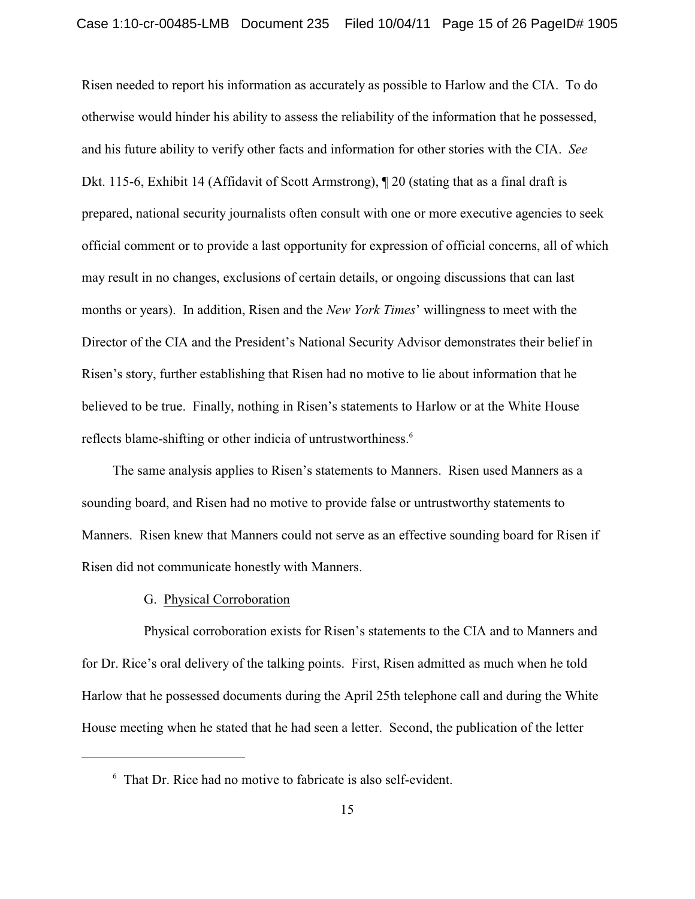Risen needed to report his information as accurately as possible to Harlow and the CIA. To do otherwise would hinder his ability to assess the reliability of the information that he possessed, and his future ability to verify other facts and information for other stories with the CIA. *See* Dkt. 115-6, Exhibit 14 (Affidavit of Scott Armstrong), ¶ 20 (stating that as a final draft is prepared, national security journalists often consult with one or more executive agencies to seek official comment or to provide a last opportunity for expression of official concerns, all of which may result in no changes, exclusions of certain details, or ongoing discussions that can last months or years). In addition, Risen and the *New York Times*' willingness to meet with the Director of the CIA and the President's National Security Advisor demonstrates their belief in Risen's story, further establishing that Risen had no motive to lie about information that he believed to be true. Finally, nothing in Risen's statements to Harlow or at the White House reflects blame-shifting or other indicia of untrustworthiness.<sup>6</sup>

The same analysis applies to Risen's statements to Manners. Risen used Manners as a sounding board, and Risen had no motive to provide false or untrustworthy statements to Manners. Risen knew that Manners could not serve as an effective sounding board for Risen if Risen did not communicate honestly with Manners.

#### G. Physical Corroboration

Physical corroboration exists for Risen's statements to the CIA and to Manners and for Dr. Rice's oral delivery of the talking points. First, Risen admitted as much when he told Harlow that he possessed documents during the April 25th telephone call and during the White House meeting when he stated that he had seen a letter. Second, the publication of the letter

 $6\,$  That Dr. Rice had no motive to fabricate is also self-evident.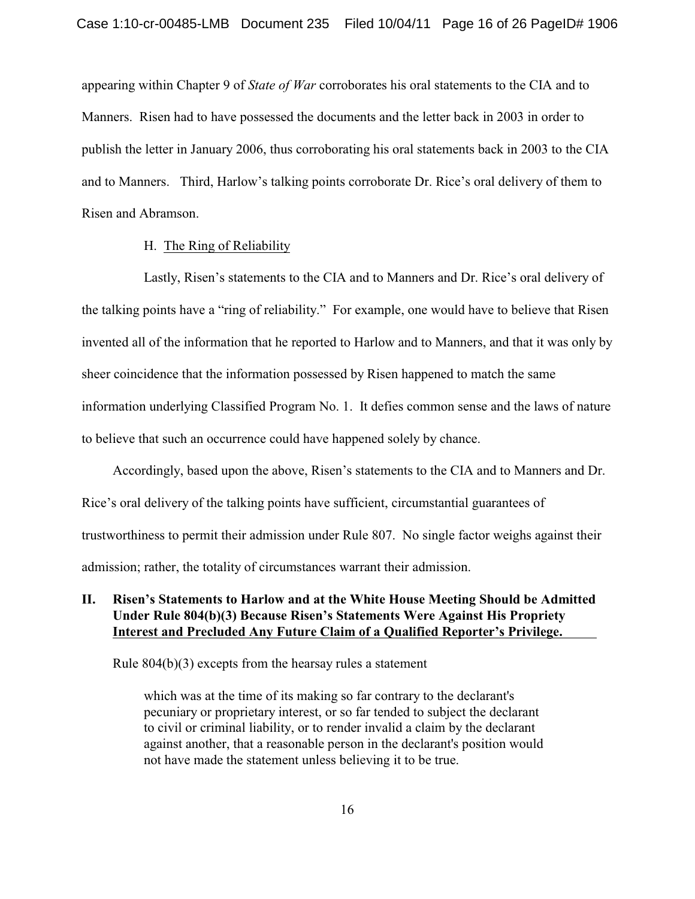appearing within Chapter 9 of *State of War* corroborates his oral statements to the CIA and to Manners. Risen had to have possessed the documents and the letter back in 2003 in order to publish the letter in January 2006, thus corroborating his oral statements back in 2003 to the CIA and to Manners. Third, Harlow's talking points corroborate Dr. Rice's oral delivery of them to Risen and Abramson.

### H. The Ring of Reliability

Lastly, Risen's statements to the CIA and to Manners and Dr. Rice's oral delivery of the talking points have a "ring of reliability." For example, one would have to believe that Risen invented all of the information that he reported to Harlow and to Manners, and that it was only by sheer coincidence that the information possessed by Risen happened to match the same information underlying Classified Program No. 1. It defies common sense and the laws of nature to believe that such an occurrence could have happened solely by chance.

Accordingly, based upon the above, Risen's statements to the CIA and to Manners and Dr. Rice's oral delivery of the talking points have sufficient, circumstantial guarantees of trustworthiness to permit their admission under Rule 807. No single factor weighs against their admission; rather, the totality of circumstances warrant their admission.

## **II. Risen's Statements to Harlow and at the White House Meeting Should be Admitted Under Rule 804(b)(3) Because Risen's Statements Were Against His Propriety Interest and Precluded Any Future Claim of a Qualified Reporter's Privilege.**

Rule 804(b)(3) excepts from the hearsay rules a statement

which was at the time of its making so far contrary to the declarant's pecuniary or proprietary interest, or so far tended to subject the declarant to civil or criminal liability, or to render invalid a claim by the declarant against another, that a reasonable person in the declarant's position would not have made the statement unless believing it to be true.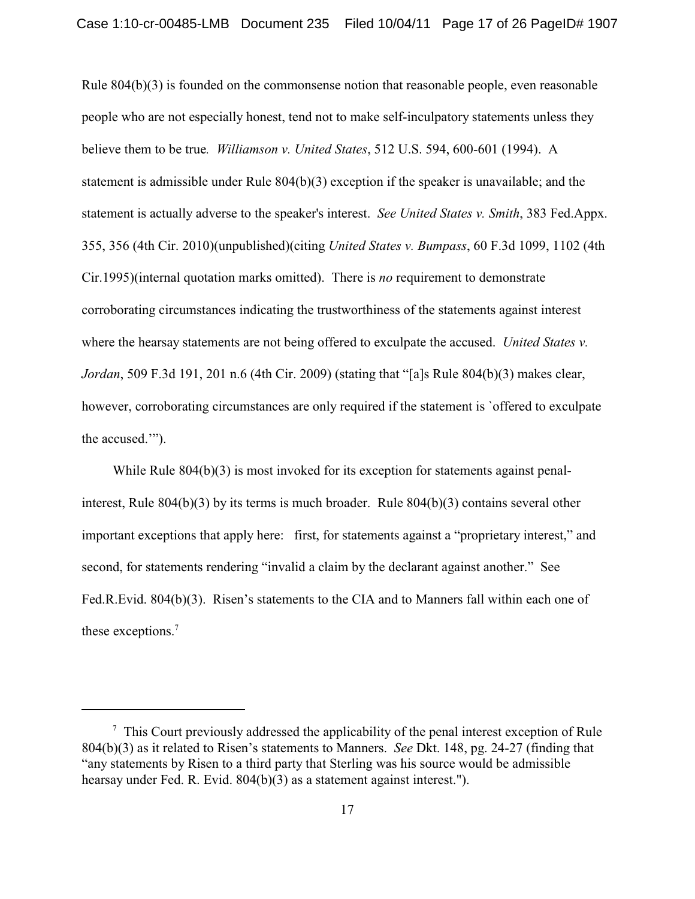Rule 804(b)(3) is founded on the commonsense notion that reasonable people, even reasonable people who are not especially honest, tend not to make self-inculpatory statements unless they believe them to be true*. Williamson v. United States*, 512 U.S. 594, 600-601 (1994). A statement is admissible under Rule 804(b)(3) exception if the speaker is unavailable; and the statement is actually adverse to the speaker's interest. *See United States v. Smith*, 383 Fed.Appx. 355, 356 (4th Cir. 2010)(unpublished)(citing *United States v. Bumpass*, 60 F.3d 1099, 1102 (4th Cir.1995)(internal quotation marks omitted). There is *no* requirement to demonstrate corroborating circumstances indicating the trustworthiness of the statements against interest where the hearsay statements are not being offered to exculpate the accused. *United States v. Jordan*, 509 F.3d 191, 201 n.6 (4th Cir. 2009) (stating that "[a]s Rule 804(b)(3) makes clear, however, corroborating circumstances are only required if the statement is `offered to exculpate the accused.'").

While Rule 804(b)(3) is most invoked for its exception for statements against penalinterest, Rule  $804(b)(3)$  by its terms is much broader. Rule  $804(b)(3)$  contains several other important exceptions that apply here: first, for statements against a "proprietary interest," and second, for statements rendering "invalid a claim by the declarant against another." See Fed.R.Evid. 804(b)(3). Risen's statements to the CIA and to Manners fall within each one of these exceptions.<sup>7</sup>

 $\frac{7}{7}$  This Court previously addressed the applicability of the penal interest exception of Rule 804(b)(3) as it related to Risen's statements to Manners. *See* Dkt. 148, pg. 24-27 (finding that "any statements by Risen to a third party that Sterling was his source would be admissible hearsay under Fed. R. Evid. 804(b)(3) as a statement against interest.").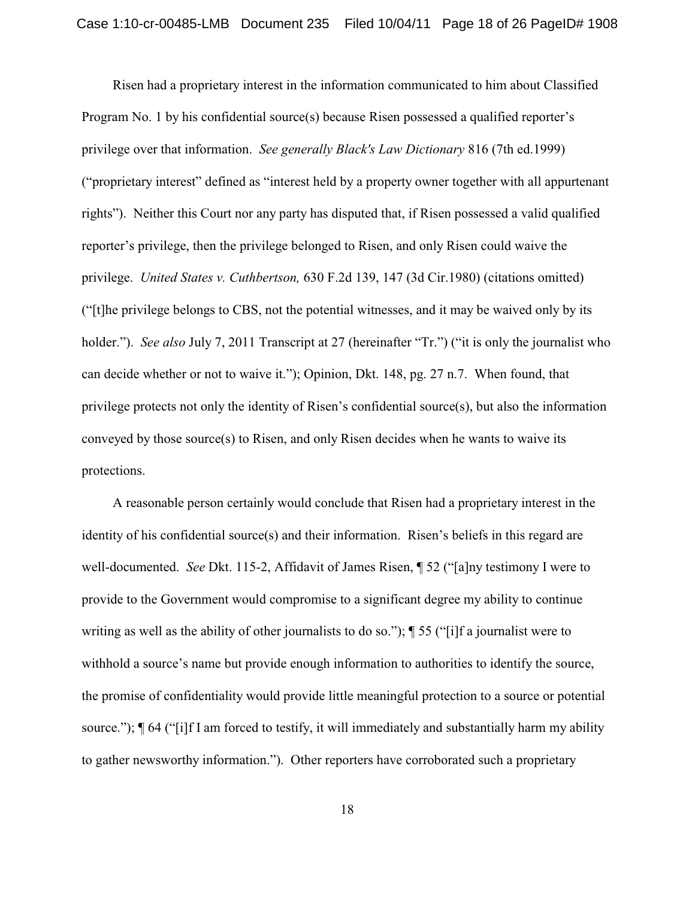Risen had a proprietary interest in the information communicated to him about Classified Program No. 1 by his confidential source(s) because Risen possessed a qualified reporter's privilege over that information. *See generally Black's Law Dictionary* 816 (7th ed.1999) ("proprietary interest" defined as "interest held by a property owner together with all appurtenant rights"). Neither this Court nor any party has disputed that, if Risen possessed a valid qualified reporter's privilege, then the privilege belonged to Risen, and only Risen could waive the privilege. *United States v. Cuthbertson,* 630 F.2d 139, 147 (3d Cir.1980) (citations omitted) ("[t]he privilege belongs to CBS, not the potential witnesses, and it may be waived only by its holder."). *See also July 7, 2011 Transcript at 27 (hereinafter "Tr.")* ("it is only the journalist who can decide whether or not to waive it."); Opinion, Dkt. 148, pg. 27 n.7. When found, that privilege protects not only the identity of Risen's confidential source(s), but also the information conveyed by those source(s) to Risen, and only Risen decides when he wants to waive its protections.

A reasonable person certainly would conclude that Risen had a proprietary interest in the identity of his confidential source(s) and their information. Risen's beliefs in this regard are well-documented. *See* Dkt. 115-2, Affidavit of James Risen, ¶ 52 ("[a]ny testimony I were to provide to the Government would compromise to a significant degree my ability to continue writing as well as the ability of other journalists to do so."); ¶ 55 ("[i]f a journalist were to withhold a source's name but provide enough information to authorities to identify the source, the promise of confidentiality would provide little meaningful protection to a source or potential source.");  $\P$  64 ("[i]f I am forced to testify, it will immediately and substantially harm my ability to gather newsworthy information."). Other reporters have corroborated such a proprietary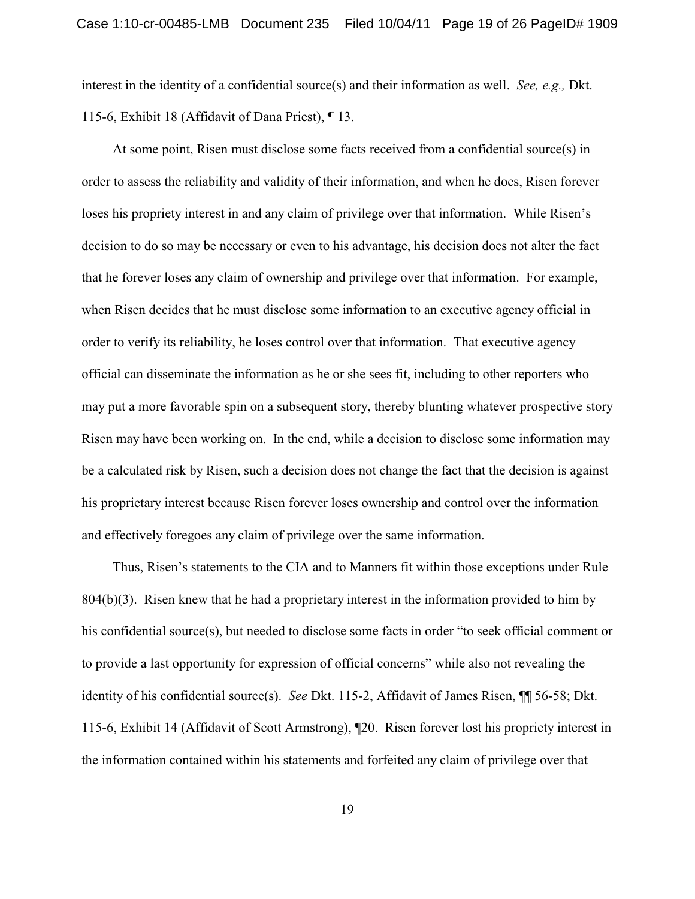interest in the identity of a confidential source(s) and their information as well. *See, e.g.,* Dkt. 115-6, Exhibit 18 (Affidavit of Dana Priest), ¶ 13.

At some point, Risen must disclose some facts received from a confidential source(s) in order to assess the reliability and validity of their information, and when he does, Risen forever loses his propriety interest in and any claim of privilege over that information. While Risen's decision to do so may be necessary or even to his advantage, his decision does not alter the fact that he forever loses any claim of ownership and privilege over that information. For example, when Risen decides that he must disclose some information to an executive agency official in order to verify its reliability, he loses control over that information. That executive agency official can disseminate the information as he or she sees fit, including to other reporters who may put a more favorable spin on a subsequent story, thereby blunting whatever prospective story Risen may have been working on. In the end, while a decision to disclose some information may be a calculated risk by Risen, such a decision does not change the fact that the decision is against his proprietary interest because Risen forever loses ownership and control over the information and effectively foregoes any claim of privilege over the same information.

Thus, Risen's statements to the CIA and to Manners fit within those exceptions under Rule 804(b)(3). Risen knew that he had a proprietary interest in the information provided to him by his confidential source(s), but needed to disclose some facts in order "to seek official comment or to provide a last opportunity for expression of official concerns" while also not revealing the identity of his confidential source(s). *See* Dkt. 115-2, Affidavit of James Risen, ¶¶ 56-58; Dkt. 115-6, Exhibit 14 (Affidavit of Scott Armstrong), ¶20. Risen forever lost his propriety interest in the information contained within his statements and forfeited any claim of privilege over that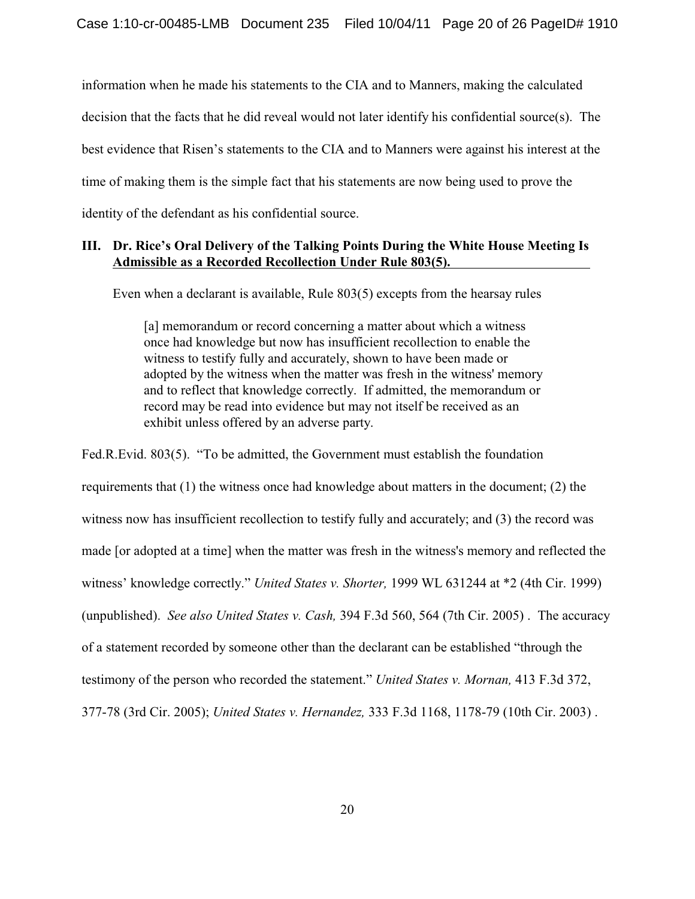information when he made his statements to the CIA and to Manners, making the calculated decision that the facts that he did reveal would not later identify his confidential source(s). The best evidence that Risen's statements to the CIA and to Manners were against his interest at the time of making them is the simple fact that his statements are now being used to prove the identity of the defendant as his confidential source.

## **III. Dr. Rice's Oral Delivery of the Talking Points During the White House Meeting Is Admissible as a Recorded Recollection Under Rule 803(5).**

Even when a declarant is available, Rule 803(5) excepts from the hearsay rules

[a] memorandum or record concerning a matter about which a witness once had knowledge but now has insufficient recollection to enable the witness to testify fully and accurately, shown to have been made or adopted by the witness when the matter was fresh in the witness' memory and to reflect that knowledge correctly. If admitted, the memorandum or record may be read into evidence but may not itself be received as an exhibit unless offered by an adverse party.

Fed.R.Evid. 803(5). "To be admitted, the Government must establish the foundation requirements that (1) the witness once had knowledge about matters in the document; (2) the witness now has insufficient recollection to testify fully and accurately; and (3) the record was made [or adopted at a time] when the matter was fresh in the witness's memory and reflected the witness' knowledge correctly." *United States v. Shorter,* 1999 WL 631244 at \*2 (4th Cir. 1999) (unpublished). *See also United States v. Cash,* 394 F.3d 560, 564 (7th Cir. 2005) . The accuracy of a statement recorded by someone other than the declarant can be established "through the testimony of the person who recorded the statement." *United States v. Mornan,* 413 F.3d 372, 377-78 (3rd Cir. 2005); *United States v. Hernandez,* 333 F.3d 1168, 1178-79 (10th Cir. 2003) .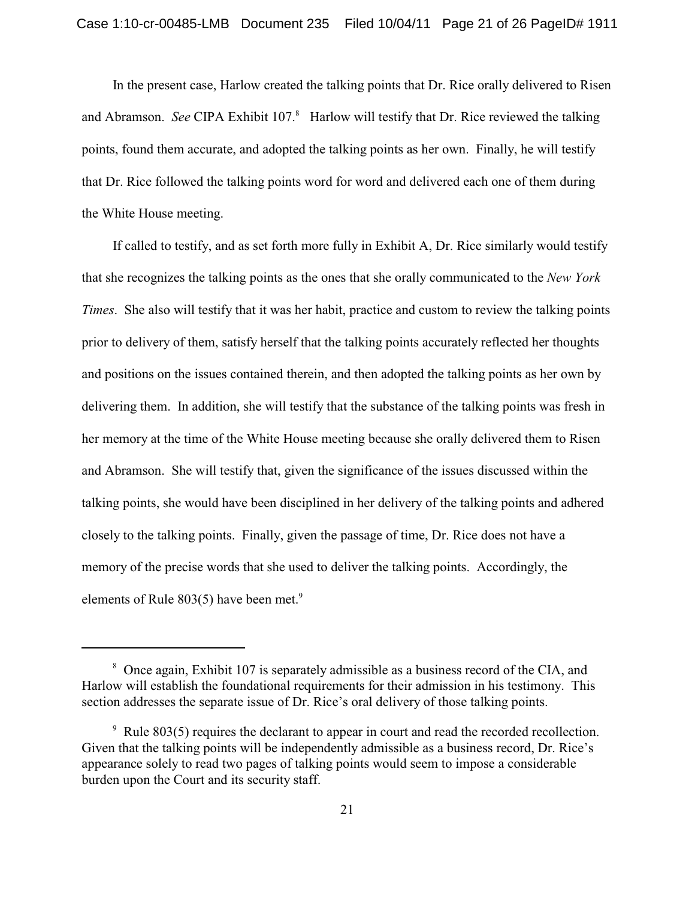In the present case, Harlow created the talking points that Dr. Rice orally delivered to Risen and Abramson. *See* CIPA Exhibit 107.<sup>8</sup> Harlow will testify that Dr. Rice reviewed the talking points, found them accurate, and adopted the talking points as her own. Finally, he will testify that Dr. Rice followed the talking points word for word and delivered each one of them during the White House meeting.

If called to testify, and as set forth more fully in Exhibit A, Dr. Rice similarly would testify that she recognizes the talking points as the ones that she orally communicated to the *New York Times*. She also will testify that it was her habit, practice and custom to review the talking points prior to delivery of them, satisfy herself that the talking points accurately reflected her thoughts and positions on the issues contained therein, and then adopted the talking points as her own by delivering them. In addition, she will testify that the substance of the talking points was fresh in her memory at the time of the White House meeting because she orally delivered them to Risen and Abramson. She will testify that, given the significance of the issues discussed within the talking points, she would have been disciplined in her delivery of the talking points and adhered closely to the talking points. Finally, given the passage of time, Dr. Rice does not have a memory of the precise words that she used to deliver the talking points. Accordingly, the elements of Rule 803(5) have been met.<sup>9</sup>

<sup>&</sup>lt;sup>8</sup> Once again, Exhibit 107 is separately admissible as a business record of the CIA, and Harlow will establish the foundational requirements for their admission in his testimony. This section addresses the separate issue of Dr. Rice's oral delivery of those talking points.

 $\degree$  Rule 803(5) requires the declarant to appear in court and read the recorded recollection. Given that the talking points will be independently admissible as a business record, Dr. Rice's appearance solely to read two pages of talking points would seem to impose a considerable burden upon the Court and its security staff.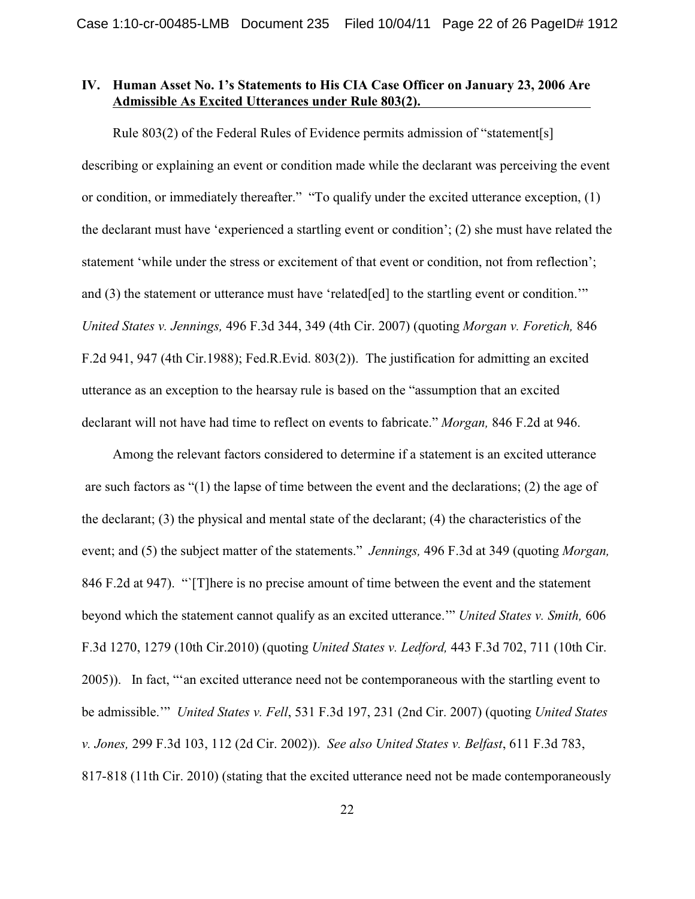## **IV. Human Asset No. 1's Statements to His CIA Case Officer on January 23, 2006 Are Admissible As Excited Utterances under Rule 803(2).**

Rule 803(2) of the Federal Rules of Evidence permits admission of "statement[s] describing or explaining an event or condition made while the declarant was perceiving the event or condition, or immediately thereafter." "To qualify under the excited utterance exception, (1) the declarant must have 'experienced a startling event or condition'; (2) she must have related the statement 'while under the stress or excitement of that event or condition, not from reflection'; and (3) the statement or utterance must have 'related[ed] to the startling event or condition." *United States v. Jennings,* 496 F.3d 344, 349 (4th Cir. 2007) (quoting *Morgan v. Foretich,* 846 F.2d 941, 947 (4th Cir.1988); Fed.R.Evid. 803(2)). The justification for admitting an excited utterance as an exception to the hearsay rule is based on the "assumption that an excited declarant will not have had time to reflect on events to fabricate." *Morgan,* 846 F.2d at 946.

Among the relevant factors considered to determine if a statement is an excited utterance are such factors as "(1) the lapse of time between the event and the declarations; (2) the age of the declarant; (3) the physical and mental state of the declarant; (4) the characteristics of the event; and (5) the subject matter of the statements." *Jennings,* 496 F.3d at 349 (quoting *Morgan,* 846 F.2d at 947). "`[T]here is no precise amount of time between the event and the statement beyond which the statement cannot qualify as an excited utterance.'" *United States v. Smith,* 606 F.3d 1270, 1279 (10th Cir.2010) (quoting *United States v. Ledford,* 443 F.3d 702, 711 (10th Cir. 2005)). In fact, "'an excited utterance need not be contemporaneous with the startling event to be admissible.'" *United States v. Fell*, 531 F.3d 197, 231 (2nd Cir. 2007) (quoting *United States v. Jones,* 299 F.3d 103, 112 (2d Cir. 2002)). *See also United States v. Belfast*, 611 F.3d 783, 817-818 (11th Cir. 2010) (stating that the excited utterance need not be made contemporaneously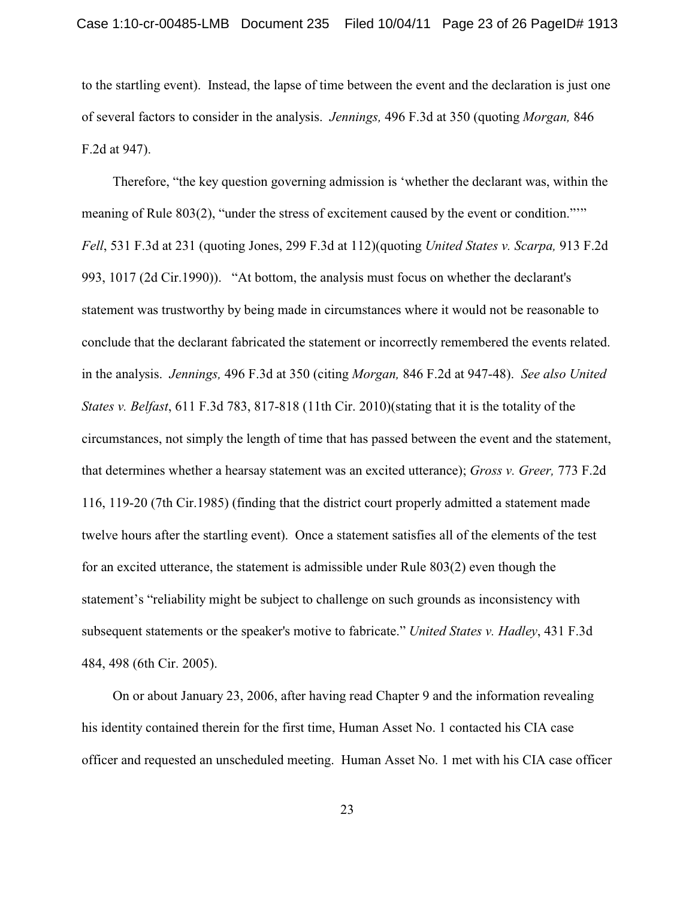to the startling event). Instead, the lapse of time between the event and the declaration is just one of several factors to consider in the analysis. *Jennings,* 496 F.3d at 350 (quoting *Morgan,* 846 F.2d at 947).

Therefore, "the key question governing admission is 'whether the declarant was, within the meaning of Rule 803(2), "under the stress of excitement caused by the event or condition."" *Fell*, 531 F.3d at 231 (quoting Jones, 299 F.3d at 112)(quoting *United States v. Scarpa,* 913 F.2d 993, 1017 (2d Cir.1990)). "At bottom, the analysis must focus on whether the declarant's statement was trustworthy by being made in circumstances where it would not be reasonable to conclude that the declarant fabricated the statement or incorrectly remembered the events related. in the analysis. *Jennings,* 496 F.3d at 350 (citing *Morgan,* 846 F.2d at 947-48). *See also United States v. Belfast*, 611 F.3d 783, 817-818 (11th Cir. 2010)(stating that it is the totality of the circumstances, not simply the length of time that has passed between the event and the statement, that determines whether a hearsay statement was an excited utterance); *Gross v. Greer,* 773 F.2d 116, 119-20 (7th Cir.1985) (finding that the district court properly admitted a statement made twelve hours after the startling event). Once a statement satisfies all of the elements of the test for an excited utterance, the statement is admissible under Rule 803(2) even though the statement's "reliability might be subject to challenge on such grounds as inconsistency with subsequent statements or the speaker's motive to fabricate." *United States v. Hadley*, 431 F.3d 484, 498 (6th Cir. 2005).

On or about January 23, 2006, after having read Chapter 9 and the information revealing his identity contained therein for the first time, Human Asset No. 1 contacted his CIA case officer and requested an unscheduled meeting. Human Asset No. 1 met with his CIA case officer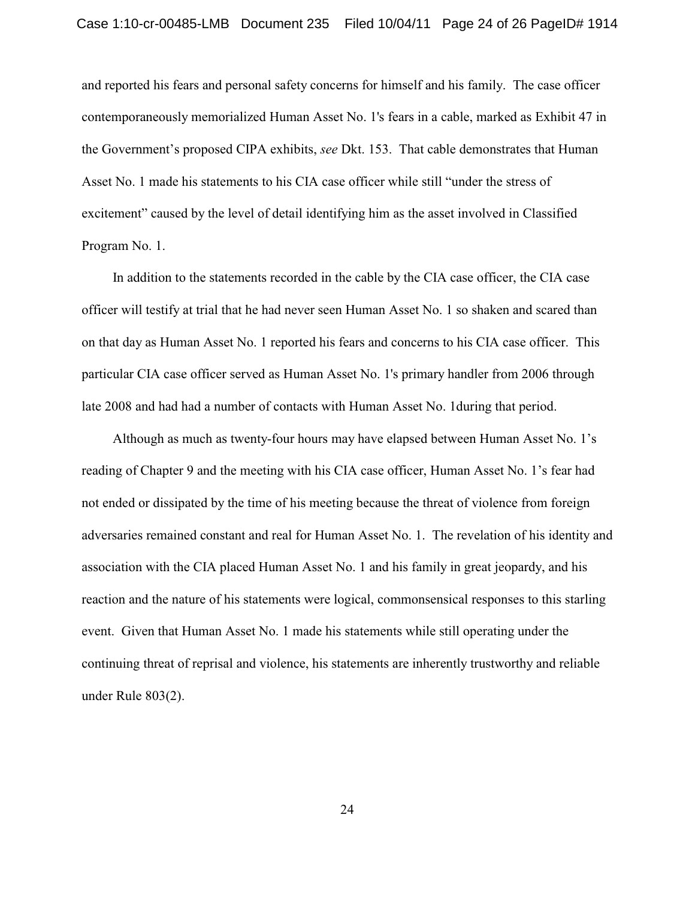and reported his fears and personal safety concerns for himself and his family. The case officer contemporaneously memorialized Human Asset No. 1's fears in a cable, marked as Exhibit 47 in the Government's proposed CIPA exhibits, *see* Dkt. 153. That cable demonstrates that Human Asset No. 1 made his statements to his CIA case officer while still "under the stress of excitement" caused by the level of detail identifying him as the asset involved in Classified Program No. 1.

In addition to the statements recorded in the cable by the CIA case officer, the CIA case officer will testify at trial that he had never seen Human Asset No. 1 so shaken and scared than on that day as Human Asset No. 1 reported his fears and concerns to his CIA case officer. This particular CIA case officer served as Human Asset No. 1's primary handler from 2006 through late 2008 and had had a number of contacts with Human Asset No. 1during that period.

Although as much as twenty-four hours may have elapsed between Human Asset No. 1's reading of Chapter 9 and the meeting with his CIA case officer, Human Asset No. 1's fear had not ended or dissipated by the time of his meeting because the threat of violence from foreign adversaries remained constant and real for Human Asset No. 1. The revelation of his identity and association with the CIA placed Human Asset No. 1 and his family in great jeopardy, and his reaction and the nature of his statements were logical, commonsensical responses to this starling event. Given that Human Asset No. 1 made his statements while still operating under the continuing threat of reprisal and violence, his statements are inherently trustworthy and reliable under Rule 803(2).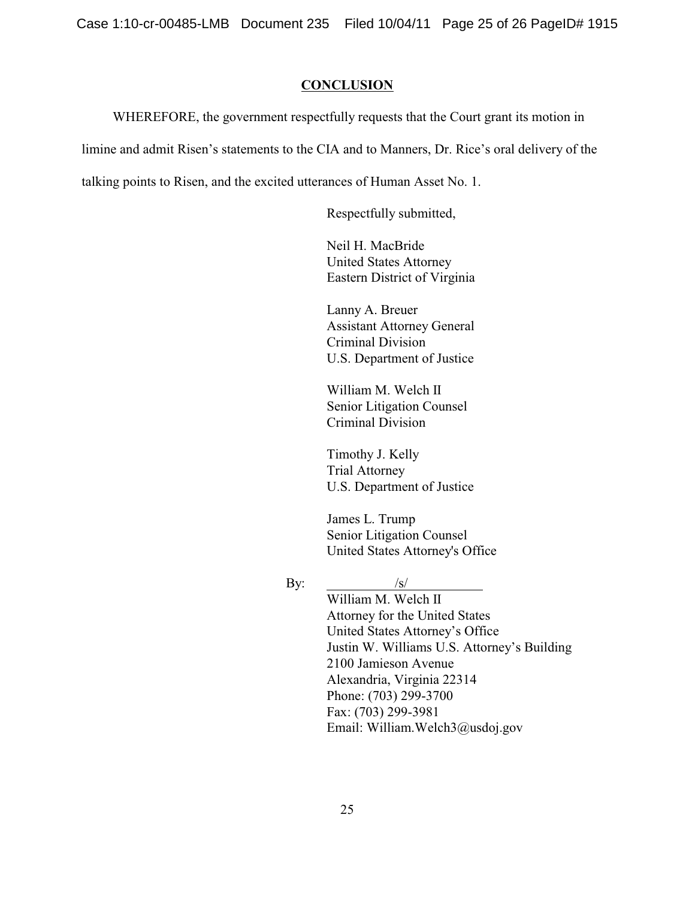Case 1:10-cr-00485-LMB Document 235 Filed 10/04/11 Page 25 of 26 PageID# 1915

#### **CONCLUSION**

WHEREFORE, the government respectfully requests that the Court grant its motion in

limine and admit Risen's statements to the CIA and to Manners, Dr. Rice's oral delivery of the

talking points to Risen, and the excited utterances of Human Asset No. 1.

Respectfully submitted,

Neil H. MacBride United States Attorney Eastern District of Virginia

Lanny A. Breuer Assistant Attorney General Criminal Division U.S. Department of Justice

William M. Welch II Senior Litigation Counsel Criminal Division

Timothy J. Kelly Trial Attorney U.S. Department of Justice

James L. Trump Senior Litigation Counsel United States Attorney's Office

## By:  $/s/$

William M. Welch II Attorney for the United States United States Attorney's Office Justin W. Williams U.S. Attorney's Building 2100 Jamieson Avenue Alexandria, Virginia 22314 Phone: (703) 299-3700 Fax: (703) 299-3981 Email: William.Welch3@usdoj.gov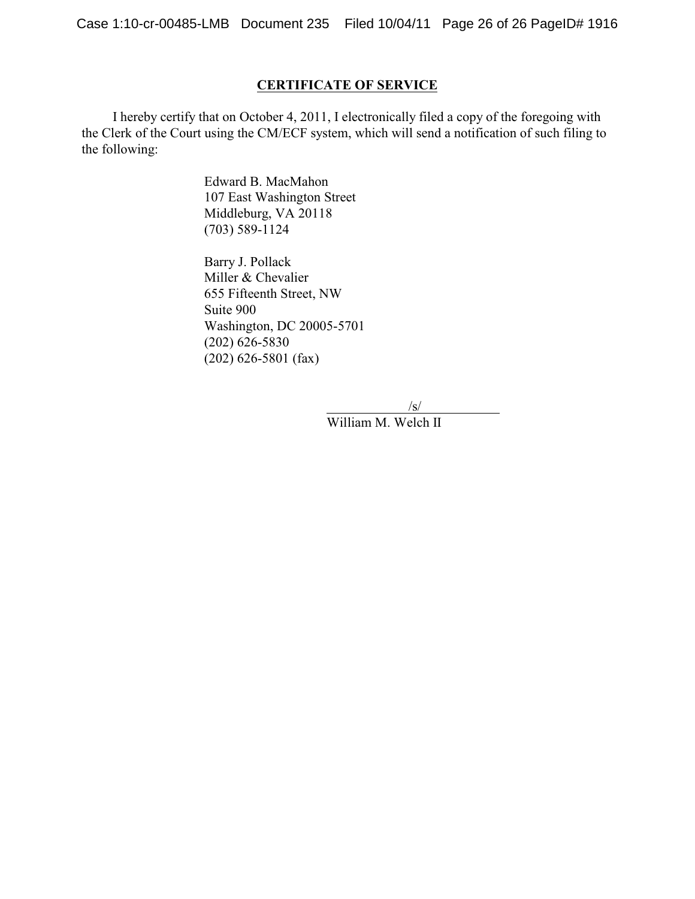Case 1:10-cr-00485-LMB Document 235 Filed 10/04/11 Page 26 of 26 PageID# 1916

### **CERTIFICATE OF SERVICE**

I hereby certify that on October 4, 2011, I electronically filed a copy of the foregoing with the Clerk of the Court using the CM/ECF system, which will send a notification of such filing to the following:

> Edward B. MacMahon 107 East Washington Street Middleburg, VA 20118 (703) 589-1124

Barry J. Pollack Miller & Chevalier 655 Fifteenth Street, NW Suite 900 Washington, DC 20005-5701 (202) 626-5830 (202) 626-5801 (fax)

/s/

William M. Welch II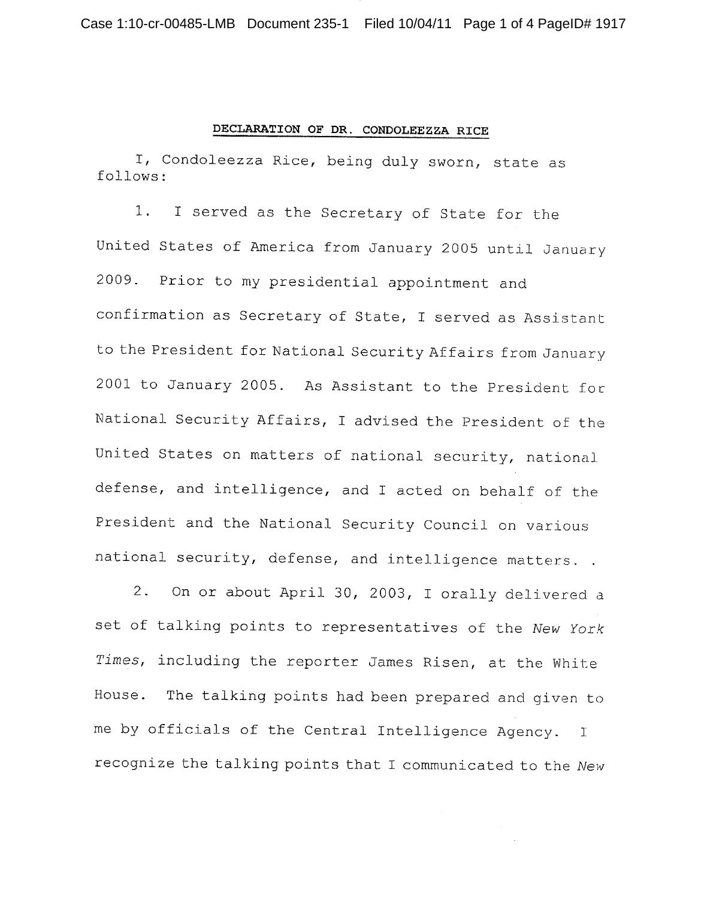#### DECLARATION OF DR. CONDOLEEZZA RICE

I, Condoleezza Rice, being duly sworn, state as follows:

I served as the Secretary of State for the 1. United States of America from January 2005 until January Prior to my presidential appointment and 2009. confirmation as Secretary of State, I served as Assistant to the President for National Security Affairs from January 2001 to January 2005. As Assistant to the President for National Security Affairs, I advised the President of the United States on matters of national security, national defense, and intelligence, and I acted on behalf of the President and the National Security Council on various national security, defense, and intelligence matters..

On or about April 30, 2003, I orally delivered a  $2.$ set of talking points to representatives of the New York Times, including the reporter James Risen, at the White House. The talking points had been prepared and given to me by officials of the Central Intelligence Agency. I recognize the talking points that I communicated to the New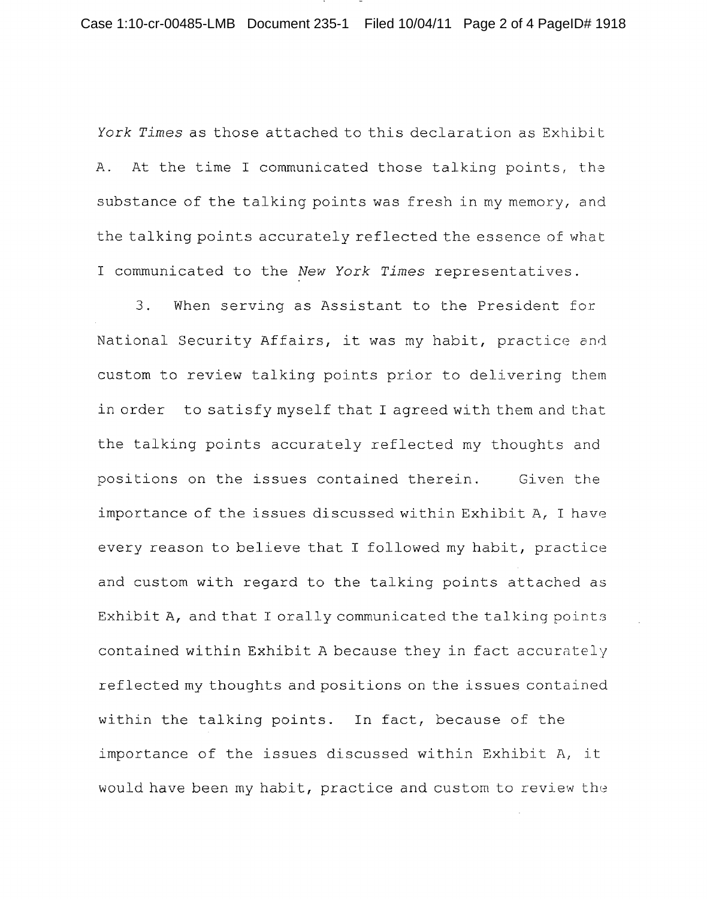Case 1:10-cr-00485-LMB Document 235-1 Filed 10/04/11 Page 2 of 4 PageID# 1918

York Times as those attached to this declaration as Exhibit At the time I communicated those talking points, the  $A$ . substance of the talking points was fresh in my memory, and the talking points accurately reflected the essence of what I communicated to the New York Times representatives.

 $3.$ When serving as Assistant to the President for National Security Affairs, it was my habit, practice and custom to review talking points prior to delivering them in order to satisfy myself that I agreed with them and that the talking points accurately reflected my thoughts and positions on the issues contained therein. Given the importance of the issues discussed within Exhibit A, I have every reason to believe that I followed my habit, practice and custom with regard to the talking points attached as Exhibit A, and that I orally communicated the talking points contained within Exhibit A because they in fact accurately reflected my thoughts and positions on the issues contained within the talking points. In fact, because of the importance of the issues discussed within Exhibit A, it would have been my habit, practice and custom to review the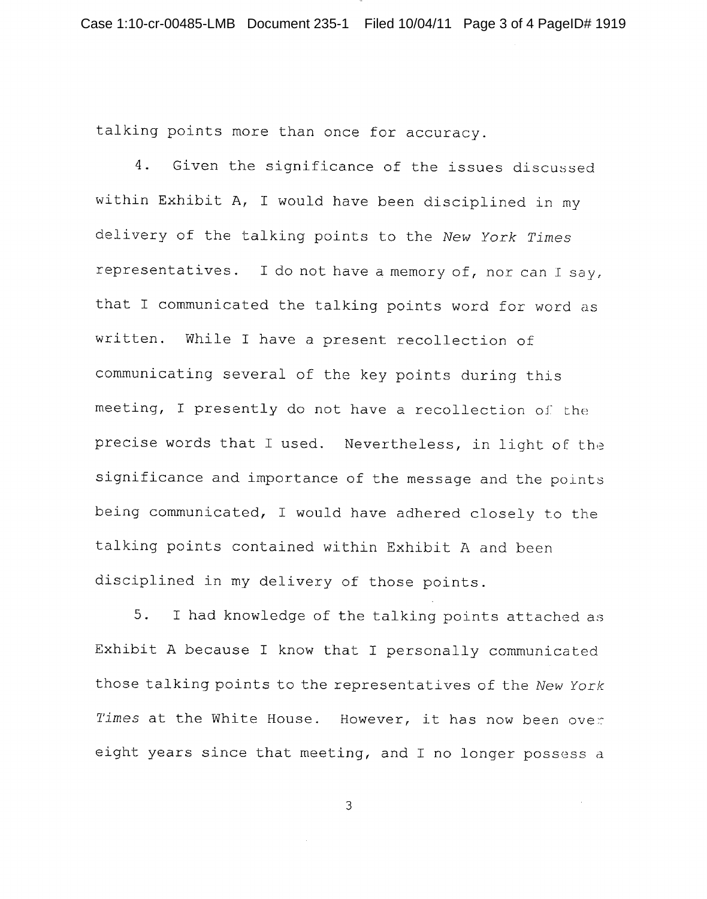talking points more than once for accuracy.

4. Given the significance of the issues discussed within Exhibit A, I would have been disciplined in my delivery of the talking points to the New York Times representatives. I do not have a memory of, nor can I say, that I communicated the talking points word for word as written. While I have a present recollection of communicating several of the key points during this meeting, I presently do not have a recollection of the precise words that I used. Nevertheless, in light of the significance and importance of the message and the points being communicated, I would have adhered closely to the talking points contained within Exhibit A and been disciplined in my delivery of those points.

5. I had knowledge of the talking points attached as Exhibit A because I know that I personally communicated those talking points to the representatives of the New York Times at the White House. However, it has now been over eight years since that meeting, and I no longer possess a

 $\overline{3}$